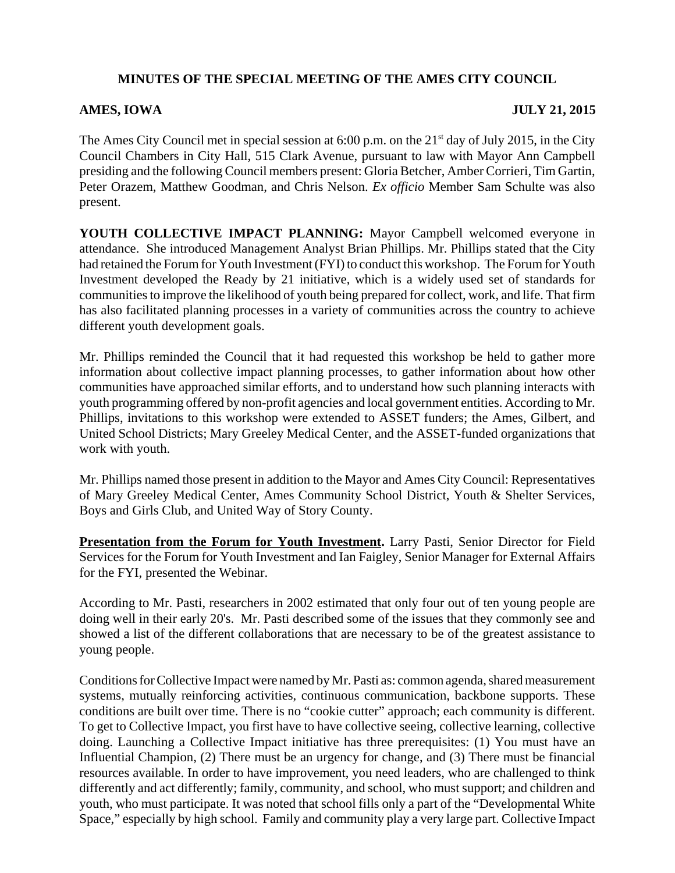## **MINUTES OF THE SPECIAL MEETING OF THE AMES CITY COUNCIL**

## **AMES, IOWA JULY 21, 2015**

The Ames City Council met in special session at  $6:00$  p.m. on the  $21<sup>st</sup>$  day of July 2015, in the City Council Chambers in City Hall, 515 Clark Avenue, pursuant to law with Mayor Ann Campbell presiding and the following Council members present: Gloria Betcher, Amber Corrieri, Tim Gartin, Peter Orazem, Matthew Goodman, and Chris Nelson. *Ex officio* Member Sam Schulte was also present.

**YOUTH COLLECTIVE IMPACT PLANNING:** Mayor Campbell welcomed everyone in attendance. She introduced Management Analyst Brian Phillips. Mr. Phillips stated that the City had retained the Forum for Youth Investment (FYI) to conduct this workshop. The Forum for Youth Investment developed the Ready by 21 initiative, which is a widely used set of standards for communities to improve the likelihood of youth being prepared for collect, work, and life. That firm has also facilitated planning processes in a variety of communities across the country to achieve different youth development goals.

Mr. Phillips reminded the Council that it had requested this workshop be held to gather more information about collective impact planning processes, to gather information about how other communities have approached similar efforts, and to understand how such planning interacts with youth programming offered by non-profit agencies and local government entities. According to Mr. Phillips, invitations to this workshop were extended to ASSET funders; the Ames, Gilbert, and United School Districts; Mary Greeley Medical Center, and the ASSET-funded organizations that work with youth.

Mr. Phillips named those present in addition to the Mayor and Ames City Council: Representatives of Mary Greeley Medical Center, Ames Community School District, Youth & Shelter Services, Boys and Girls Club, and United Way of Story County.

**Presentation from the Forum for Youth Investment.** Larry Pasti, Senior Director for Field Services for the Forum for Youth Investment and Ian Faigley, Senior Manager for External Affairs for the FYI, presented the Webinar.

According to Mr. Pasti, researchers in 2002 estimated that only four out of ten young people are doing well in their early 20's. Mr. Pasti described some of the issues that they commonly see and showed a list of the different collaborations that are necessary to be of the greatest assistance to young people.

Conditions for Collective Impact were named by Mr. Pasti as: common agenda, shared measurement systems, mutually reinforcing activities, continuous communication, backbone supports. These conditions are built over time. There is no "cookie cutter" approach; each community is different. To get to Collective Impact, you first have to have collective seeing, collective learning, collective doing. Launching a Collective Impact initiative has three prerequisites: (1) You must have an Influential Champion, (2) There must be an urgency for change, and (3) There must be financial resources available. In order to have improvement, you need leaders, who are challenged to think differently and act differently; family, community, and school, who must support; and children and youth, who must participate. It was noted that school fills only a part of the "Developmental White Space," especially by high school. Family and community play a very large part. Collective Impact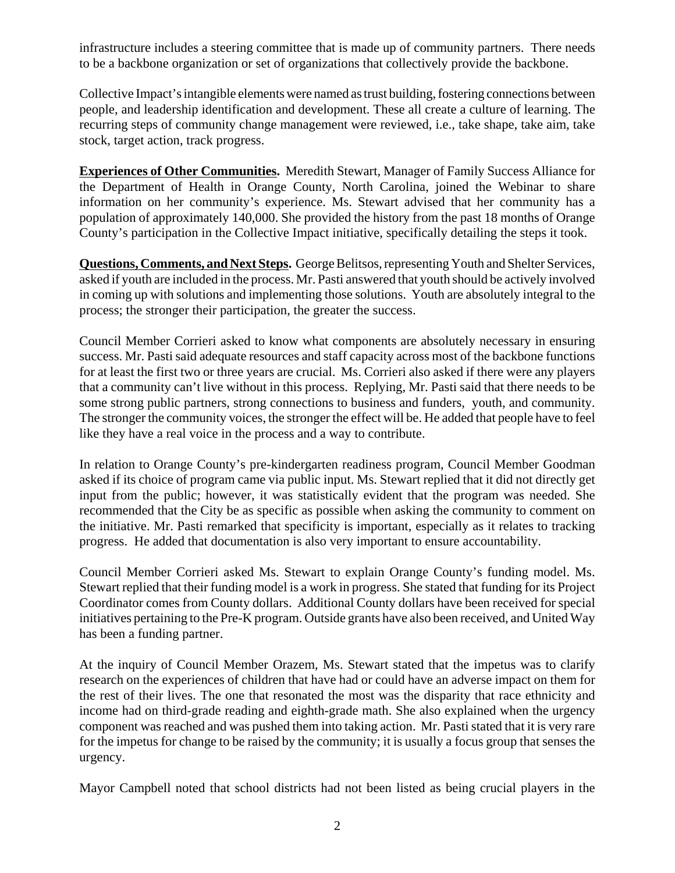infrastructure includes a steering committee that is made up of community partners. There needs to be a backbone organization or set of organizations that collectively provide the backbone.

Collective Impact's intangible elements were named as trust building, fostering connections between people, and leadership identification and development. These all create a culture of learning. The recurring steps of community change management were reviewed, i.e., take shape, take aim, take stock, target action, track progress.

**Experiences of Other Communities.** Meredith Stewart, Manager of Family Success Alliance for the Department of Health in Orange County, North Carolina, joined the Webinar to share information on her community's experience. Ms. Stewart advised that her community has a population of approximately 140,000. She provided the history from the past 18 months of Orange County's participation in the Collective Impact initiative, specifically detailing the steps it took.

**Questions, Comments, and Next Steps.** George Belitsos, representing Youth and Shelter Services, asked if youth are included in the process. Mr. Pasti answered that youth should be actively involved in coming up with solutions and implementing those solutions. Youth are absolutely integral to the process; the stronger their participation, the greater the success.

Council Member Corrieri asked to know what components are absolutely necessary in ensuring success. Mr. Pasti said adequate resources and staff capacity across most of the backbone functions for at least the first two or three years are crucial. Ms. Corrieri also asked if there were any players that a community can't live without in this process. Replying, Mr. Pasti said that there needs to be some strong public partners, strong connections to business and funders, youth, and community. The stronger the community voices, the stronger the effect will be. He added that people have to feel like they have a real voice in the process and a way to contribute.

In relation to Orange County's pre-kindergarten readiness program, Council Member Goodman asked if its choice of program came via public input. Ms. Stewart replied that it did not directly get input from the public; however, it was statistically evident that the program was needed. She recommended that the City be as specific as possible when asking the community to comment on the initiative. Mr. Pasti remarked that specificity is important, especially as it relates to tracking progress. He added that documentation is also very important to ensure accountability.

Council Member Corrieri asked Ms. Stewart to explain Orange County's funding model. Ms. Stewart replied that their funding model is a work in progress. She stated that funding for its Project Coordinator comes from County dollars. Additional County dollars have been received for special initiatives pertaining to the Pre-K program. Outside grants have also been received, and United Way has been a funding partner.

At the inquiry of Council Member Orazem, Ms. Stewart stated that the impetus was to clarify research on the experiences of children that have had or could have an adverse impact on them for the rest of their lives. The one that resonated the most was the disparity that race ethnicity and income had on third-grade reading and eighth-grade math. She also explained when the urgency component was reached and was pushed them into taking action. Mr. Pasti stated that it is very rare for the impetus for change to be raised by the community; it is usually a focus group that senses the urgency.

Mayor Campbell noted that school districts had not been listed as being crucial players in the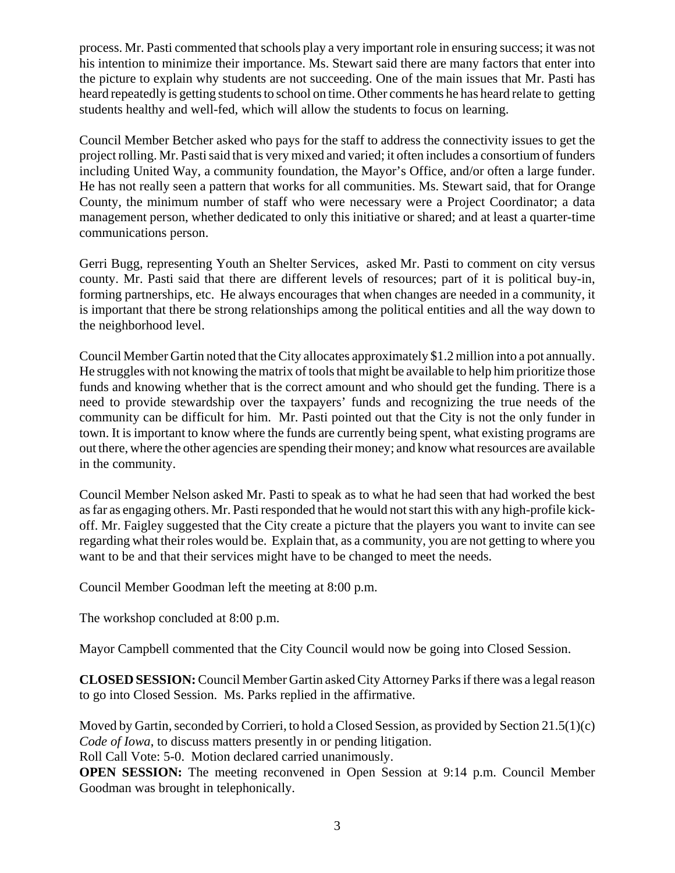process. Mr. Pasti commented that schools play a very important role in ensuring success; it was not his intention to minimize their importance. Ms. Stewart said there are many factors that enter into the picture to explain why students are not succeeding. One of the main issues that Mr. Pasti has heard repeatedly is getting students to school on time. Other comments he has heard relate to getting students healthy and well-fed, which will allow the students to focus on learning.

Council Member Betcher asked who pays for the staff to address the connectivity issues to get the project rolling. Mr. Pasti said that is very mixed and varied; it often includes a consortium of funders including United Way, a community foundation, the Mayor's Office, and/or often a large funder. He has not really seen a pattern that works for all communities. Ms. Stewart said, that for Orange County, the minimum number of staff who were necessary were a Project Coordinator; a data management person, whether dedicated to only this initiative or shared; and at least a quarter-time communications person.

Gerri Bugg, representing Youth an Shelter Services, asked Mr. Pasti to comment on city versus county. Mr. Pasti said that there are different levels of resources; part of it is political buy-in, forming partnerships, etc. He always encourages that when changes are needed in a community, it is important that there be strong relationships among the political entities and all the way down to the neighborhood level.

Council Member Gartin noted that the City allocates approximately \$1.2 million into a pot annually. He struggles with not knowing the matrix of tools that might be available to help him prioritize those funds and knowing whether that is the correct amount and who should get the funding. There is a need to provide stewardship over the taxpayers' funds and recognizing the true needs of the community can be difficult for him. Mr. Pasti pointed out that the City is not the only funder in town. It is important to know where the funds are currently being spent, what existing programs are out there, where the other agencies are spending their money; and know what resources are available in the community.

Council Member Nelson asked Mr. Pasti to speak as to what he had seen that had worked the best as far as engaging others. Mr. Pasti responded that he would not start this with any high-profile kickoff. Mr. Faigley suggested that the City create a picture that the players you want to invite can see regarding what their roles would be. Explain that, as a community, you are not getting to where you want to be and that their services might have to be changed to meet the needs.

Council Member Goodman left the meeting at 8:00 p.m.

The workshop concluded at 8:00 p.m.

Mayor Campbell commented that the City Council would now be going into Closed Session.

**CLOSED SESSION:** Council Member Gartin asked City Attorney Parks if there was a legal reason to go into Closed Session. Ms. Parks replied in the affirmative.

Moved by Gartin, seconded by Corrieri, to hold a Closed Session, as provided by Section 21.5(1)(c) *Code of Iowa*, to discuss matters presently in or pending litigation.

Roll Call Vote: 5-0. Motion declared carried unanimously.

**OPEN SESSION:** The meeting reconvened in Open Session at 9:14 p.m. Council Member Goodman was brought in telephonically.